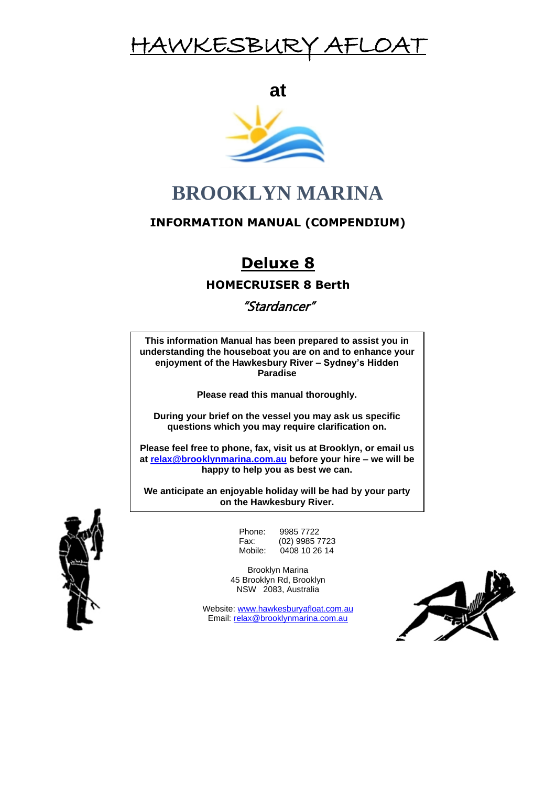## HAWKESBUR

**at**



## **BROOKLYN MARINA**

### **INFORMATION MANUAL (COMPENDIUM)**

## **Deluxe 8**

**HOMECRUISER 8 Berth**

"Stardancer"

**This information Manual has been prepared to assist you in understanding the houseboat you are on and to enhance your enjoyment of the Hawkesbury River – Sydney's Hidden Paradise**

**Please read this manual thoroughly.**

**During your brief on the vessel you may ask us specific questions which you may require clarification on.**

**Please feel free to phone, fax, visit us at Brooklyn, or email us at [relax@brooklynmarina.com.au](mailto:relax@brooklynmarina.com.au) before your hire – we will be happy to help you as best we can.**

on the Hawkesbury River. **We anticipate an enjoyable holiday will be had by your party** 



Phone: 9985 7722<br>Fax: (02) 9985 7 Fax: (02) 9985 7723<br>Mobile: 0408 10 26 14  $0408$  10 26 14

Brooklyn Marina 45 Brooklyn Rd, Brooklyn NSW 2083, Australia

Website[: www.hawkesburyafloat.com.au](http://www.hawkesburyafloat.com.au/) Email: [relax@brooklynmarina.com.au](mailto:relax@brooklynmarina.com.au)

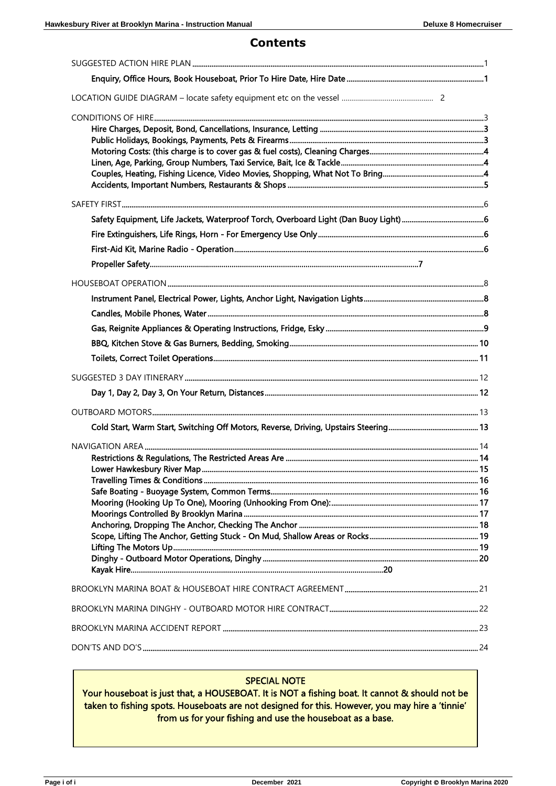### **Contents**

#### **SPECIAL NOTE**

Your houseboat is just that, a HOUSEBOAT. It is NOT a fishing boat. It cannot & should not be taken to fishing spots. Houseboats are not designed for this. However, you may hire a 'tinnie' from us for your fishing and use the houseboat as a base.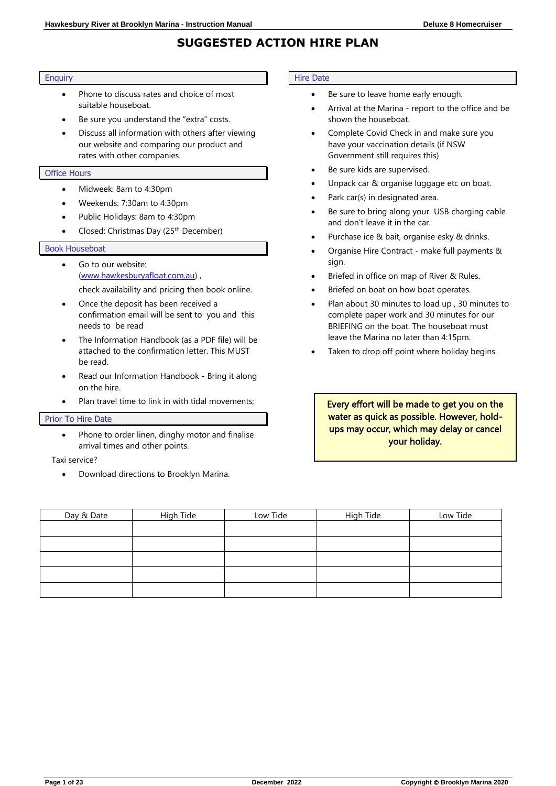### **SUGGESTED ACTION HIRE PLAN**

#### **Enquiry**

- Phone to discuss rates and choice of most suitable houseboat.
- Be sure you understand the "extra" costs.
- Discuss all information with others after viewing our website and comparing our product and rates with other companies.

#### Office Hours

- Midweek: 8am to 4:30pm
- Weekends: 7:30am to 4:30pm
- Public Holidays: 8am to 4:30pm
- Closed: Christmas Day (25th December)

#### Book Houseboat

- Go to our website: [\(www.hawkesburyafloat.com.au\)](http://www.hawkesburyafloat.com.au/) , check availability and pricing then book online.
- Once the deposit has been received a confirmation email will be sent to you and this needs to be read
- The Information Handbook (as a PDF file) will be attached to the confirmation letter. This MUST be read.
- Read our Information Handbook Bring it along on the hire.
- Plan travel time to link in with tidal movements;

#### Prior To Hire Date

Phone to order linen, dinghy motor and finalise arrival times and other points.

Taxi service?

• Download directions to Brooklyn Marina.

#### Hire Date

- Be sure to leave home early enough.
- Arrival at the Marina report to the office and be shown the houseboat.
- Complete Covid Check in and make sure you have your vaccination details (if NSW Government still requires this)
- Be sure kids are supervised.
- Unpack car & organise luggage etc on boat.
- Park car(s) in designated area.
- Be sure to bring along your USB charging cable and don't leave it in the car.
- Purchase ice & bait, organise esky & drinks.
- Organise Hire Contract make full payments & sign.
- Briefed in office on map of River & Rules.
- Briefed on boat on how boat operates.
- Plan about 30 minutes to load up , 30 minutes to complete paper work and 30 minutes for our BRIEFING on the boat. The houseboat must leave the Marina no later than 4:15pm.
- Taken to drop off point where holiday begins

Every effort will be made to get you on the water as quick as possible. However, holdups may occur, which may delay or cancel your holiday.

| Day & Date | High Tide | Low Tide | High Tide | Low Tide |
|------------|-----------|----------|-----------|----------|
|            |           |          |           |          |
|            |           |          |           |          |
|            |           |          |           |          |
|            |           |          |           |          |
|            |           |          |           |          |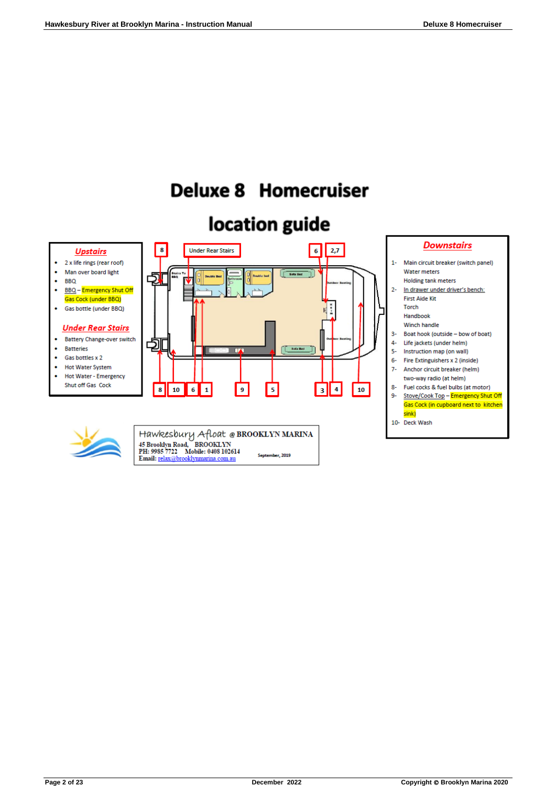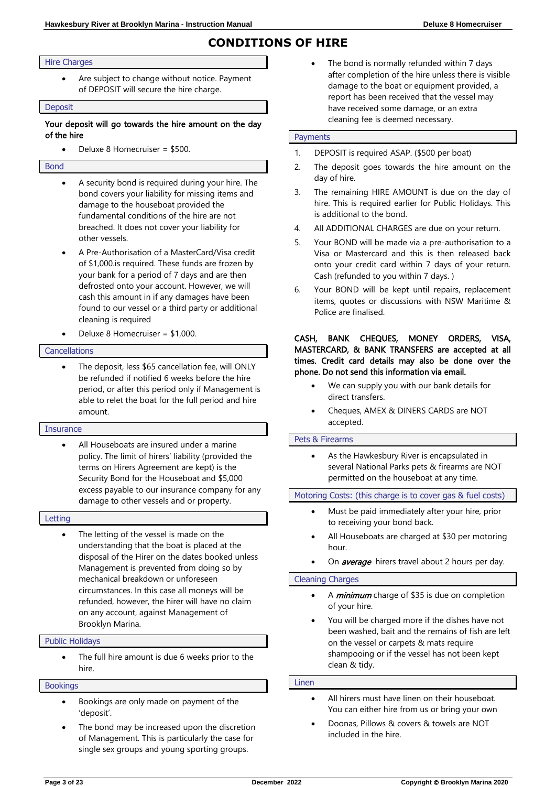### **CONDITIONS OF HIRE**

#### Hire Charges

Are subject to change without notice. Payment of DEPOSIT will secure the hire charge.

#### Deposit

#### Your deposit will go towards the hire amount on the day of the hire

• Deluxe 8 Homecruiser = \$500.

#### Bond

- A security bond is required during your hire. The bond covers your liability for missing items and damage to the houseboat provided the fundamental conditions of the hire are not breached. It does not cover your liability for other vessels.
- A Pre-Authorisation of a MasterCard/Visa credit of \$1,000.is required. These funds are frozen by your bank for a period of 7 days and are then defrosted onto your account. However, we will cash this amount in if any damages have been found to our vessel or a third party or additional cleaning is required
- Deluxe 8 Homecruiser = \$1,000.

#### **Cancellations**

The deposit, less \$65 cancellation fee, will ONLY be refunded if notified 6 weeks before the hire period, or after this period only if Management is able to relet the boat for the full period and hire amount.

#### **Insurance**

All Houseboats are insured under a marine policy. The limit of hirers' liability (provided the terms on Hirers Agreement are kept) is the Security Bond for the Houseboat and \$5,000 excess payable to our insurance company for any damage to other vessels and or property.

#### Letting

The letting of the vessel is made on the understanding that the boat is placed at the disposal of the Hirer on the dates booked unless Management is prevented from doing so by mechanical breakdown or unforeseen circumstances. In this case all moneys will be refunded, however, the hirer will have no claim on any account, against Management of Brooklyn Marina.

#### Public Holidays

The full hire amount is due 6 weeks prior to the hire.

#### **Bookings**

- Bookings are only made on payment of the 'deposit'.
- The bond may be increased upon the discretion of Management. This is particularly the case for single sex groups and young sporting groups.

The bond is normally refunded within 7 days after completion of the hire unless there is visible damage to the boat or equipment provided, a report has been received that the vessel may have received some damage, or an extra cleaning fee is deemed necessary.

#### Payments

- 1. DEPOSIT is required ASAP. (\$500 per boat)
- 2. The deposit goes towards the hire amount on the day of hire.
- 3. The remaining HIRE AMOUNT is due on the day of hire. This is required earlier for Public Holidays. This is additional to the bond.
- 4. All ADDITIONAL CHARGES are due on your return.
- 5. Your BOND will be made via a pre-authorisation to a Visa or Mastercard and this is then released back onto your credit card within 7 days of your return. Cash (refunded to you within 7 days. )
- 6. Your BOND will be kept until repairs, replacement items, quotes or discussions with NSW Maritime & Police are finalised.

#### CASH, BANK CHEQUES, MONEY ORDERS, VISA, MASTERCARD, & BANK TRANSFERS are accepted at all times. Credit card details may also be done over the phone. Do not send this information via email.

- We can supply you with our bank details for direct transfers.
- Cheques, AMEX & DINERS CARDS are NOT accepted.

#### Pets & Firearms

As the Hawkesbury River is encapsulated in several National Parks pets & firearms are NOT permitted on the houseboat at any time.

#### Motoring Costs: (this charge is to cover gas & fuel costs)

- Must be paid immediately after your hire, prior to receiving your bond back.
- All Houseboats are charged at \$30 per motoring hour.
- On **average** hirers travel about 2 hours per day.

#### Cleaning Charges

- A *minimum* charge of \$35 is due on completion of your hire.
- You will be charged more if the dishes have not been washed, bait and the remains of fish are left on the vessel or carpets & mats require shampooing or if the vessel has not been kept clean & tidy.

#### Linen

- All hirers must have linen on their houseboat. You can either hire from us or bring your own
- Doonas, Pillows & covers & towels are NOT included in the hire.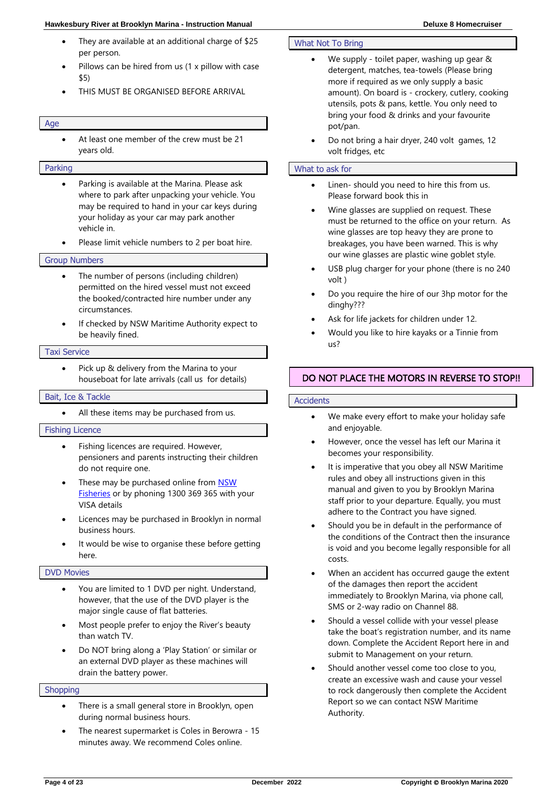#### **Hawkesbury River at Brooklyn Marina - Instruction Manual Deluxe 8 Homecruiser**

- They are available at an additional charge of \$25 per person.
- Pillows can be hired from us (1 x pillow with case \$5)
- THIS MUST BE ORGANISED BEFORE ARRIVAL

#### Age

At least one member of the crew must be 21 years old.

#### Parking

- Parking is available at the Marina. Please ask where to park after unpacking your vehicle. You may be required to hand in your car keys during your holiday as your car may park another vehicle in.
- Please limit vehicle numbers to 2 per boat hire.

#### Group Numbers

- The number of persons (including children) permitted on the hired vessel must not exceed the booked/contracted hire number under any circumstances.
- If checked by NSW Maritime Authority expect to be heavily fined.

#### Taxi Service

• Pick up & delivery from the Marina to your houseboat for late arrivals (call us for details)

#### Bait, Ice & Tackle

All these items may be purchased from us.

#### Fishing Licence

- Fishing licences are required. However, pensioners and parents instructing their children do not require one.
- These may be purchased online from **NSW** [Fisheries](http://www.dpi.nsw.gov.au/fisheries) or by phoning 1300 369 365 with your VISA details
- Licences may be purchased in Brooklyn in normal business hours.
- It would be wise to organise these before getting here.

#### DVD Movies

- You are limited to 1 DVD per night. Understand, however, that the use of the DVD player is the major single cause of flat batteries.
- Most people prefer to enjoy the River's beauty than watch TV.
- Do NOT bring along a 'Play Station' or similar or an external DVD player as these machines will drain the battery power.

#### **Shopping**

- There is a small general store in Brooklyn, open during normal business hours.
- The nearest supermarket is Coles in Berowra 15 minutes away. We recommend Coles online.

#### What Not To Bring

- We supply toilet paper, washing up gear & detergent, matches, tea-towels (Please bring more if required as we only supply a basic amount). On board is - crockery, cutlery, cooking utensils, pots & pans, kettle. You only need to bring your food & drinks and your favourite pot/pan.
- Do not bring a hair dryer, 240 volt games, 12 volt fridges, etc

#### What to ask for

- Linen- should you need to hire this from us. Please forward book this in
- Wine glasses are supplied on request. These must be returned to the office on your return. As wine glasses are top heavy they are prone to breakages, you have been warned. This is why our wine glasses are plastic wine goblet style.
- USB plug charger for your phone (there is no 240 volt )
- Do you require the hire of our 3hp motor for the dinghy???
- Ask for life jackets for children under 12.
- Would you like to hire kayaks or a Tinnie from us?

#### DO NOT PLACE THE MOTORS IN REVERSE TO STOP!!

#### **Accidents**

- We make every effort to make your holiday safe and enjoyable.
- However, once the vessel has left our Marina it becomes your responsibility.
- It is imperative that you obey all NSW Maritime rules and obey all instructions given in this manual and given to you by Brooklyn Marina staff prior to your departure. Equally, you must adhere to the Contract you have signed.
- Should you be in default in the performance of the conditions of the Contract then the insurance is void and you become legally responsible for all costs.
- When an accident has occurred gauge the extent of the damages then report the accident immediately to Brooklyn Marina, via phone call, SMS or 2-way radio on Channel 88.
- Should a vessel collide with your vessel please take the boat's registration number, and its name down. Complete the Accident Report here in and submit to Management on your return.
- Should another vessel come too close to you, create an excessive wash and cause your vessel to rock dangerously then complete the Accident Report so we can contact NSW Maritime Authority.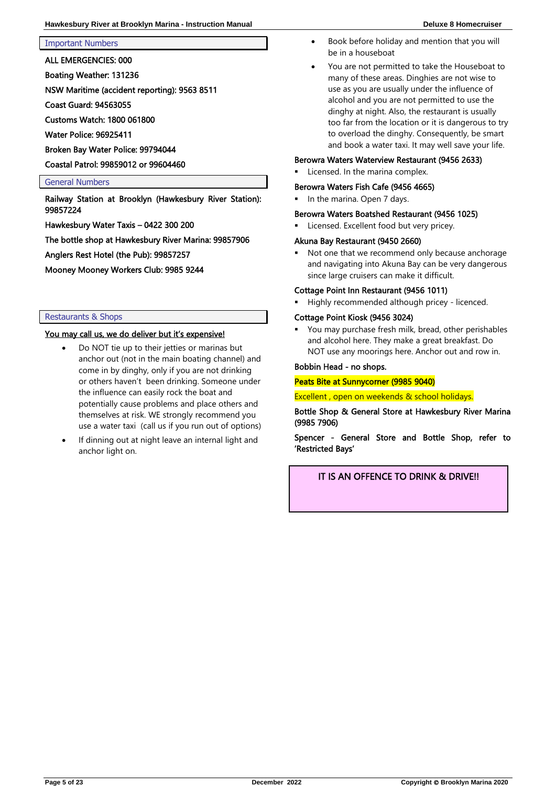Important Numbers

ALL EMERGENCIES: 000

Boating Weather: 131236

NSW Maritime (accident reporting): 9563 8511

Coast Guard: 94563055

Customs Watch: 1800 061800

Water Police: 96925411

Broken Bay Water Police: 99794044

Coastal Patrol: 99859012 or 99604460

#### General Numbers

Railway Station at Brooklyn (Hawkesbury River Station): 99857224

Hawkesbury Water Taxis – 0422 300 200

The bottle shop at Hawkesbury River Marina: 99857906

Anglers Rest Hotel (the Pub): 99857257

Mooney Mooney Workers Club: 9985 9244

#### Restaurants & Shops

#### You may call us, we do deliver but it's expensive!

- Do NOT tie up to their jetties or marinas but anchor out (not in the main boating channel) and come in by dinghy, only if you are not drinking or others haven't been drinking. Someone under the influence can easily rock the boat and potentially cause problems and place others and themselves at risk. WE strongly recommend you use a water taxi (call us if you run out of options)
- If dinning out at night leave an internal light and anchor light on.
- Book before holiday and mention that you will be in a houseboat
- You are not permitted to take the Houseboat to many of these areas. Dinghies are not wise to use as you are usually under the influence of alcohol and you are not permitted to use the dinghy at night. Also, the restaurant is usually too far from the location or it is dangerous to try to overload the dinghy. Consequently, be smart and book a water taxi. It may well save your life.

#### Berowra Waters Waterview Restaurant (9456 2633)

Licensed. In the marina complex.

#### Berowra Waters Fish Cafe (9456 4665)

In the marina. Open 7 days.

#### Berowra Waters Boatshed Restaurant (9456 1025)

Licensed. Excellent food but very pricey.

#### Akuna Bay Restaurant (9450 2660)

Not one that we recommend only because anchorage and navigating into Akuna Bay can be very dangerous since large cruisers can make it difficult.

#### Cottage Point Inn Restaurant (9456 1011)

Highly recommended although pricey - licenced.

#### Cottage Point Kiosk (9456 3024)

You may purchase fresh milk, bread, other perishables and alcohol here. They make a great breakfast. Do NOT use any moorings here. Anchor out and row in.

#### Bobbin Head - no shops.

#### Peats Bite at Sunnycorner (9985 9040)

Excellent , open on weekends & school holidays.

Bottle Shop & General Store at Hawkesbury River Marina (9985 7906)

Spencer - General Store and Bottle Shop, refer to 'Restricted Bays'

IT IS AN OFFENCE TO DRINK & DRIVE!!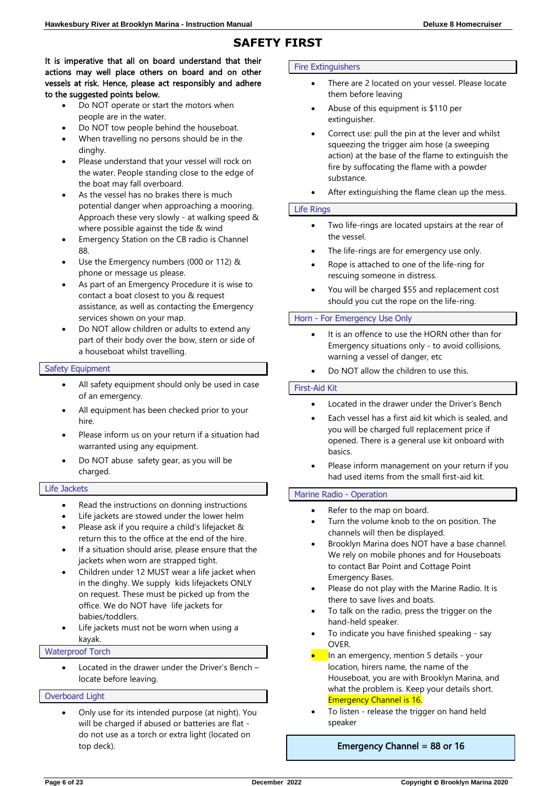### **SAFETY FIRST**

#### It is imperative that all on board understand that their actions may well place others on board and on other vessels at risk. Hence, please act responsibly and adhere to the suggested points below.

- Do NOT operate or start the motors when people are in the water.
- Do NOT tow people behind the houseboat.
- When travelling no persons should be in the dinghy.
- Please understand that your vessel will rock on the water. People standing close to the edge of the boat may fall overboard.
- As the vessel has no brakes there is much potential danger when approaching a mooring. Approach these very slowly - at walking speed & where possible against the tide & wind
- Emergency Station on the CB radio is Channel 88.
- Use the Emergency numbers (000 or 112) & phone or message us please.
- As part of an Emergency Procedure it is wise to contact a boat closest to you & request assistance, as well as contacting the Emergency services shown on your map.
- Do NOT allow children or adults to extend any part of their body over the bow, stern or side of a houseboat whilst travelling.

#### Safety Equipment

- All safety equipment should only be used in case of an emergency.
- All equipment has been checked prior to your hire.
- Please inform us on your return if a situation had warranted using any equipment.
- Do NOT abuse safety gear, as you will be charged.

#### Life Jackets

- Read the instructions on donning instructions
- Life jackets are stowed under the lower helm
- Please ask if you require a child's lifejacket & return this to the office at the end of the hire.
- If a situation should arise, please ensure that the jackets when worn are strapped tight.
- Children under 12 MUST wear a life jacket when in the dinghy. We supply kids lifejackets ONLY on request. These must be picked up from the office. We do NOT have life jackets for babies/toddlers.
- Life jackets must not be worn when using a kayak.

#### Waterproof Torch

• Located in the drawer under the Driver's Bench – locate before leaving.

#### Overboard Light

• Only use for its intended purpose (at night). You will be charged if abused or batteries are flat do not use as a torch or extra light (located on top deck).

#### Fire Extinguishers

- There are 2 located on your vessel. Please locate them before leaving
- Abuse of this equipment is \$110 per extinguisher.
- Correct use: pull the pin at the lever and whilst squeezing the trigger aim hose (a sweeping action) at the base of the flame to extinguish the fire by suffocating the flame with a powder substance.
- After extinguishing the flame clean up the mess.

#### Life Rings

- Two life-rings are located upstairs at the rear of the vessel.
- The life-rings are for emergency use only.
- Rope is attached to one of the life-ring for rescuing someone in distress.
- You will be charged \$55 and replacement cost should you cut the rope on the life-ring.

#### Horn - For Emergency Use Only

- It is an offence to use the HORN other than for Emergency situations only - to avoid collisions, warning a vessel of danger, etc
- Do NOT allow the children to use this.

#### First-Aid Kit

- Located in the drawer under the Driver's Bench
- Each vessel has a first aid kit which is sealed, and you will be charged full replacement price if opened. There is a general use kit onboard with basics.
- Please inform management on your return if you had used items from the small first-aid kit.

#### Marine Radio - Operation

- Refer to the map on board.
- Turn the volume knob to the on position. The channels will then be displayed.
- Brooklyn Marina does NOT have a base channel. We rely on mobile phones and for Houseboats to contact Bar Point and Cottage Point Emergency Bases.
- Please do not play with the Marine Radio. It is there to save lives and boats.
- To talk on the radio, press the trigger on the hand-held speaker.
- To indicate you have finished speaking say OVER.
- In an emergency, mention 5 details your location, hirers name, the name of the Houseboat, you are with Brooklyn Marina, and what the problem is. Keep your details short. Emergency Channel is 16.
- To listen release the trigger on hand held speaker

#### Emergency Channel = 88 or 16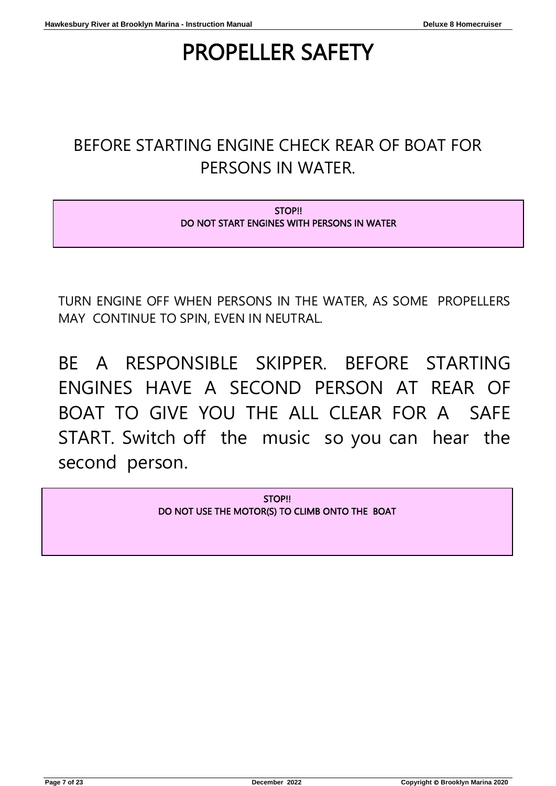# PROPELLER SAFETY

## BEFORE STARTING ENGINE CHECK REAR OF BOAT FOR PERSONS IN WATER.

STOP!! DO NOT START ENGINES WITH PERSONS IN WATER

TURN ENGINE OFF WHEN PERSONS IN THE WATER, AS SOME PROPELLERS MAY CONTINUE TO SPIN, EVEN IN NEUTRAL.

BE A RESPONSIBLE SKIPPER. BEFORE STARTING ENGINES HAVE A SECOND PERSON AT REAR OF BOAT TO GIVE YOU THE ALL CLEAR FOR A SAFE START. Switch off the music so you can hear the second person.

> STOP!! DO NOT USE THE MOTOR(S) TO CLIMB ONTO THE BOAT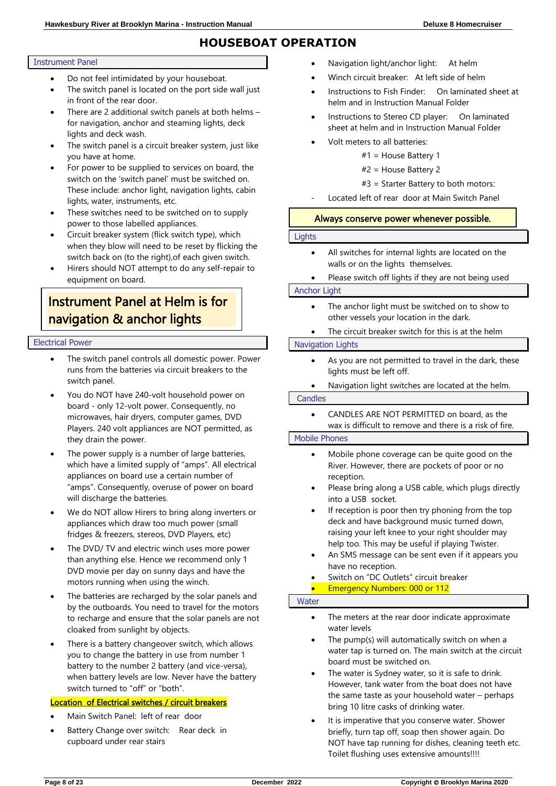### **HOUSEBOAT OPERATION**

#### Instrument Panel

- Do not feel intimidated by your houseboat.
- The switch panel is located on the port side wall just in front of the rear door.
- There are 2 additional switch panels at both helms for navigation, anchor and steaming lights, deck lights and deck wash.
- The switch panel is a circuit breaker system, just like you have at home.
- For power to be supplied to services on board, the switch on the 'switch panel' must be switched on. These include: anchor light, navigation lights, cabin lights, water, instruments, etc.
- These switches need to be switched on to supply power to those labelled appliances.
- Circuit breaker system (flick switch type), which when they blow will need to be reset by flicking the switch back on (to the right),of each given switch.
- Hirers should NOT attempt to do any self-repair to equipment on board.

### Instrument Panel at Helm is for navigation & anchor lights

#### Electrical Power

- The switch panel controls all domestic power. Power runs from the batteries via circuit breakers to the switch panel.
- You do NOT have 240-volt household power on board - only 12-volt power. Consequently, no microwaves, hair dryers, computer games, DVD Players. 240 volt appliances are NOT permitted, as they drain the power.
- The power supply is a number of large batteries, which have a limited supply of "amps". All electrical appliances on board use a certain number of "amps". Consequently, overuse of power on board will discharge the batteries.
- We do NOT allow Hirers to bring along inverters or appliances which draw too much power (small fridges & freezers, stereos, DVD Players, etc)
- The DVD/ TV and electric winch uses more power than anything else. Hence we recommend only 1 DVD movie per day on sunny days and have the motors running when using the winch.
- The batteries are recharged by the solar panels and by the outboards. You need to travel for the motors to recharge and ensure that the solar panels are not cloaked from sunlight by objects.
- There is a battery changeover switch, which allows you to change the battery in use from number 1 battery to the number 2 battery (and vice-versa), when battery levels are low. Never have the battery switch turned to "off" or "both".

#### Location of Electrical switches / circuit breakers

- Main Switch Panel: left of rear door
- Battery Change over switch: Rear deck in cupboard under rear stairs
- Navigation light/anchor light: At helm
- Winch circuit breaker: At left side of helm
- Instructions to Fish Finder: On laminated sheet at helm and in Instruction Manual Folder
- Instructions to Stereo CD player: On laminated sheet at helm and in Instruction Manual Folder
- Volt meters to all batteries:
	- #1 = House Battery 1
		- #2 = House Battery 2

#### #3 = Starter Battery to both motors:

Located left of rear door at Main Switch Panel

#### Always conserve power whenever possible.

#### **Lights**

• All switches for internal lights are located on the walls or on the lights themselves.

#### • Please switch off lights if they are not being used

#### Anchor Light

- The anchor light must be switched on to show to other vessels your location in the dark.
- The circuit breaker switch for this is at the helm

#### Navigation Lights

- As you are not permitted to travel in the dark, these lights must be left off.
- Navigation light switches are located at the helm.

#### **Candles**

• CANDLES ARE NOT PERMITTED on board, as the wax is difficult to remove and there is a risk of fire.

#### Mobile Phones

- Mobile phone coverage can be quite good on the River. However, there are pockets of poor or no reception.
- Please bring along a USB cable, which plugs directly into a USB socket.
- If reception is poor then try phoning from the top deck and have background music turned down, raising your left knee to your right shoulder may help too. This may be useful if playing Twister.
- An SMS message can be sent even if it appears you have no reception.
- Switch on "DC Outlets" circuit breaker

#### • Emergency Numbers: 000 or 112

#### **Water**

- The meters at the rear door indicate approximate water levels
- The pump(s) will automatically switch on when a water tap is turned on. The main switch at the circuit board must be switched on.
- The water is Sydney water, so it is safe to drink. However, tank water from the boat does not have the same taste as your household water – perhaps bring 10 litre casks of drinking water.
- It is imperative that you conserve water. Shower briefly, turn tap off, soap then shower again. Do NOT have tap running for dishes, cleaning teeth etc. Toilet flushing uses extensive amounts!!!!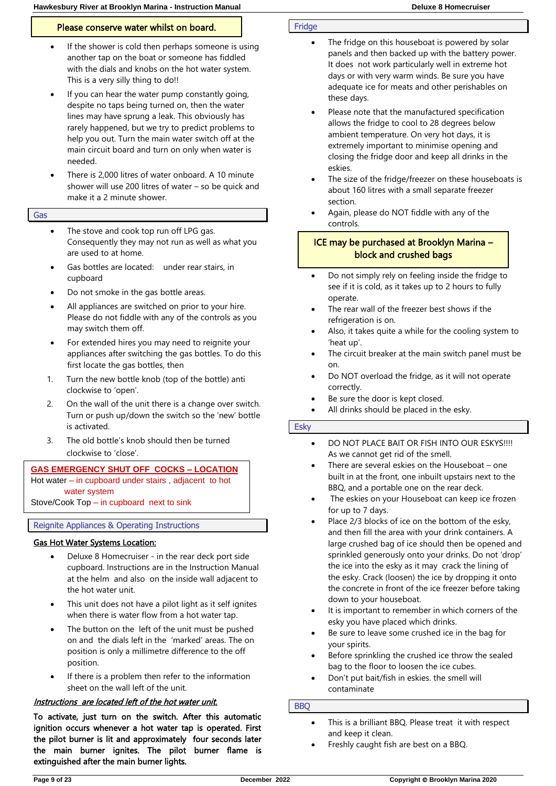#### Please conserve water whilst on board.

- If the shower is cold then perhaps someone is using another tap on the boat or someone has fiddled with the dials and knobs on the hot water system. This is a very silly thing to do!!
- If you can hear the water pump constantly going, despite no taps being turned on, then the water lines may have sprung a leak. This obviously has rarely happened, but we try to predict problems to help you out. Turn the main water switch off at the main circuit board and turn on only when water is needed.
- There is 2,000 litres of water onboard. A 10 minute shower will use 200 litres of water – so be quick and make it a 2 minute shower.

#### Gas

- The stove and cook top run off LPG gas. Consequently they may not run as well as what you are used to at home.
- Gas bottles are located: under rear stairs, in cupboard
- Do not smoke in the gas bottle areas.
- All appliances are switched on prior to your hire. Please do not fiddle with any of the controls as you may switch them off.
- For extended hires you may need to reignite your appliances after switching the gas bottles. To do this first locate the gas bottles, then
- 1. Turn the new bottle knob (top of the bottle) anti clockwise to 'open'.
- 2. On the wall of the unit there is a change over switch. Turn or push up/down the switch so the 'new' bottle is activated.
- 3. The old bottle's knob should then be turned clockwise to 'close'.

#### **GAS EMERGENCY SHUT OFF COCKS – LOCATION**

Hot water – in cupboard under stairs , adjacent to hot water system

Stove/Cook Top – in cupboard next to sink

Reignite Appliances & Operating Instructions

#### Gas Hot Water Systems Location:

- Deluxe 8 Homecruiser in the rear deck port side cupboard. Instructions are in the Instruction Manual at the helm and also on the inside wall adjacent to the hot water unit.
- This unit does not have a pilot light as it self ignites when there is water flow from a hot water tap.
- The button on the left of the unit must be pushed on and the dials left in the 'marked' areas. The on position is only a millimetre difference to the off position.
- If there is a problem then refer to the information sheet on the wall left of the unit.

#### Instructions are located left of the hot water unit.

To activate, just turn on the switch. After this automatic ignition occurs whenever a hot water tap is operated. First the pilot burner is lit and approximately four seconds later the main burner ignites. The pilot burner flame is extinguished after the main burner lights.

#### Fridge

- The fridge on this houseboat is powered by solar panels and then backed up with the battery power. It does not work particularly well in extreme hot days or with very warm winds. Be sure you have adequate ice for meats and other perishables on these days.
- Please note that the manufactured specification allows the fridge to cool to 28 degrees below ambient temperature. On very hot days, it is extremely important to minimise opening and closing the fridge door and keep all drinks in the eskies.
- The size of the fridge/freezer on these houseboats is about 160 litres with a small separate freezer section.
- Again, please do NOT fiddle with any of the controls.

#### ICE may be purchased at Brooklyn Marina – block and crushed bags

- Do not simply rely on feeling inside the fridge to see if it is cold, as it takes up to 2 hours to fully operate.
- The rear wall of the freezer best shows if the refrigeration is on.
- Also, it takes quite a while for the cooling system to 'heat up'.
- The circuit breaker at the main switch panel must be on.
- Do NOT overload the fridge, as it will not operate correctly.
- Be sure the door is kept closed.
- All drinks should be placed in the esky.

#### Esky

- DO NOT PLACE BAIT OR FISH INTO OUR ESKYS!!!! As we cannot get rid of the smell.
- There are several eskies on the Houseboat one built in at the front, one inbuilt upstairs next to the BBQ, and a portable one on the rear deck.
- The eskies on your Houseboat can keep ice frozen for up to 7 days.
- Place 2/3 blocks of ice on the bottom of the esky, and then fill the area with your drink containers. A large crushed bag of ice should then be opened and sprinkled generously onto your drinks. Do not 'drop' the ice into the esky as it may crack the lining of the esky. Crack (loosen) the ice by dropping it onto the concrete in front of the ice freezer before taking down to your houseboat.
- It is important to remember in which corners of the esky you have placed which drinks.
- Be sure to leave some crushed ice in the bag for your spirits.
- Before sprinkling the crushed ice throw the sealed bag to the floor to loosen the ice cubes.
- Don't put bait/fish in eskies. the smell will contaminate

#### BBQ

- This is a brilliant BBQ. Please treat it with respect and keep it clean.
- Freshly caught fish are best on a BBQ.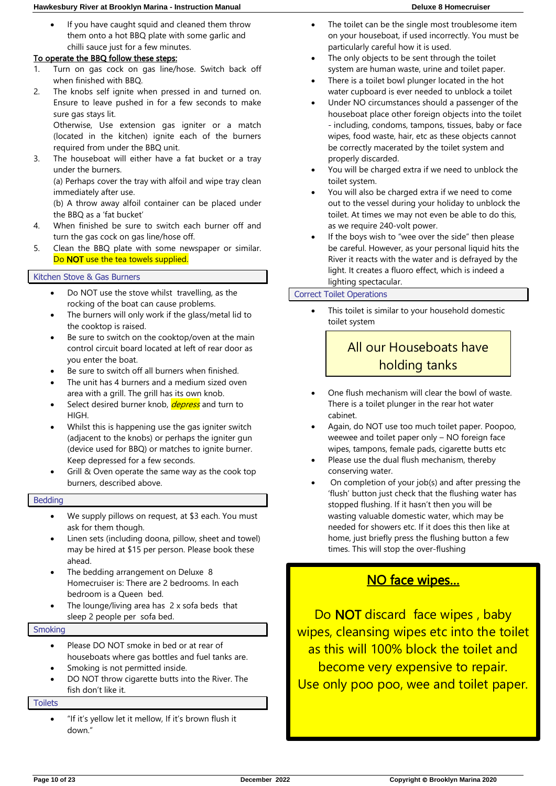#### **Hawkesbury River at Brooklyn Marina - Instruction Manual Deluxe 8 Homecruiser**

#### To operate the BBQ follow these steps:

- 1. Turn on gas cock on gas line/hose. Switch back off when finished with BBQ.
- 2. The knobs self ignite when pressed in and turned on. Ensure to leave pushed in for a few seconds to make sure gas stays lit.

Otherwise, Use extension gas igniter or a match (located in the kitchen) ignite each of the burners required from under the BBQ unit.

3. The houseboat will either have a fat bucket or a tray under the burners.

(a) Perhaps cover the tray with alfoil and wipe tray clean immediately after use.

(b) A throw away alfoil container can be placed under the BBQ as a 'fat bucket'

- 4. When finished be sure to switch each burner off and turn the gas cock on gas line/hose off.
- 5. Clean the BBQ plate with some newspaper or similar. Do **NOT** use the tea towels supplied.

#### Kitchen Stove & Gas Burners

- Do NOT use the stove whilst travelling, as the rocking of the boat can cause problems.
- The burners will only work if the glass/metal lid to the cooktop is raised.
- Be sure to switch on the cooktop/oven at the main control circuit board located at left of rear door as you enter the boat.
- Be sure to switch off all burners when finished.
- The unit has 4 burners and a medium sized oven area with a grill. The grill has its own knob.
- Select desired burner knob, *depress* and turn to HIGH.
- Whilst this is happening use the gas igniter switch (adjacent to the knobs) or perhaps the igniter gun (device used for BBQ) or matches to ignite burner. Keep depressed for a few seconds.
- Grill & Oven operate the same way as the cook top burners, described above.

#### Bedding

- We supply pillows on request, at \$3 each. You must ask for them though.
- Linen sets (including doona, pillow, sheet and towel) may be hired at \$15 per person. Please book these ahead.
- The bedding arrangement on Deluxe 8 Homecruiser is: There are 2 bedrooms. In each bedroom is a Queen bed.
- The lounge/living area has 2 x sofa beds that sleep 2 people per sofa bed.

#### **Smoking**

- Please DO NOT smoke in bed or at rear of houseboats where gas bottles and fuel tanks are.
- Smoking is not permitted inside.
- DO NOT throw cigarette butts into the River. The fish don't like it.

#### **Toilets**

• "If it's yellow let it mellow, If it's brown flush it down."

- The toilet can be the single most troublesome item on your houseboat, if used incorrectly. You must be particularly careful how it is used.
- The only objects to be sent through the toilet system are human waste, urine and toilet paper.
- There is a toilet bowl plunger located in the hot water cupboard is ever needed to unblock a toilet
- Under NO circumstances should a passenger of the houseboat place other foreign objects into the toilet - including, condoms, tampons, tissues, baby or face wipes, food waste, hair, etc as these objects cannot be correctly macerated by the toilet system and properly discarded.
- You will be charged extra if we need to unblock the toilet system.
- You will also be charged extra if we need to come out to the vessel during your holiday to unblock the toilet. At times we may not even be able to do this, as we require 240-volt power.
- If the boys wish to "wee over the side" then please be careful. However, as your personal liquid hits the River it reacts with the water and is defrayed by the light. It creates a fluoro effect, which is indeed a lighting spectacular.

#### Correct Toilet Operations

This toilet is similar to your household domestic toilet system

### All our Houseboats have holding tanks

٦

- One flush mechanism will clear the bowl of waste. There is a toilet plunger in the rear hot water cabinet.
- Again, do NOT use too much toilet paper. Poopoo, weewee and toilet paper only – NO foreign face wipes, tampons, female pads, cigarette butts etc
- Please use the dual flush mechanism, thereby conserving water.
- On completion of your job(s) and after pressing the 'flush' button just check that the flushing water has stopped flushing. If it hasn't then you will be wasting valuable domestic water, which may be needed for showers etc. If it does this then like at home, just briefly press the flushing button a few times. This will stop the over-flushing

### NO face wipes…

Do **NOT** discard face wipes, baby wipes, cleansing wipes etc into the toilet as this will 100% block the toilet and become very expensive to repair. Use only poo poo, wee and toilet paper.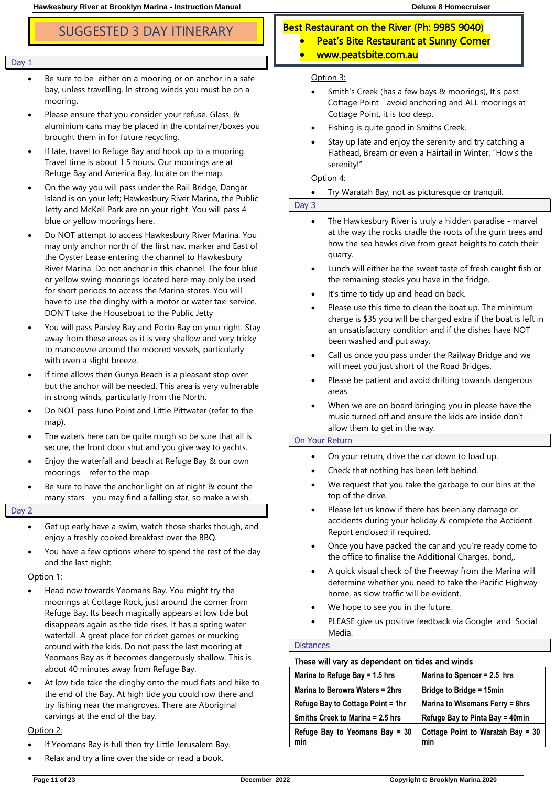- Be sure to be either on a mooring or on anchor in a safe bay, unless travelling. In strong winds you must be on a mooring.
- Please ensure that you consider your refuse. Glass, & aluminium cans may be placed in the container/boxes you brought them in for future recycling.
- If late, travel to Refuge Bay and hook up to a mooring. Travel time is about 1.5 hours. Our moorings are at Refuge Bay and America Bay, locate on the map.
- On the way you will pass under the Rail Bridge, Dangar Island is on your left; Hawkesbury River Marina, the Public Jetty and McKell Park are on your right. You will pass 4 blue or yellow moorings here.
- Do NOT attempt to access Hawkesbury River Marina. You may only anchor north of the first nav. marker and East of the Oyster Lease entering the channel to Hawkesbury River Marina. Do not anchor in this channel. The four blue or yellow swing moorings located here may only be used for short periods to access the Marina stores. You will have to use the dinghy with a motor or water taxi service. DON'T take the Houseboat to the Public Jetty
- You will pass Parsley Bay and Porto Bay on your right. Stay away from these areas as it is very shallow and very tricky to manoeuvre around the moored vessels, particularly with even a slight breeze.
- If time allows then Gunya Beach is a pleasant stop over but the anchor will be needed. This area is very vulnerable in strong winds, particularly from the North.
- Do NOT pass Juno Point and Little Pittwater (refer to the map).
- The waters here can be quite rough so be sure that all is secure, the front door shut and you give way to yachts.
- Enjoy the waterfall and beach at Refuge Bay & our own moorings – refer to the map.
- Be sure to have the anchor light on at night & count the many stars - you may find a falling star, so make a wish.

Day 2

- Get up early have a swim, watch those sharks though, and enjoy a freshly cooked breakfast over the BBQ.
- You have a few options where to spend the rest of the day and the last night:

Option 1:

- Head now towards Yeomans Bay. You might try the moorings at Cottage Rock, just around the corner from Refuge Bay. Its beach magically appears at low tide but disappears again as the tide rises. It has a spring water waterfall. A great place for cricket games or mucking around with the kids. Do not pass the last mooring at Yeomans Bay as it becomes dangerously shallow. This is about 40 minutes away from Refuge Bay.
- At low tide take the dinghy onto the mud flats and hike to the end of the Bay. At high tide you could row there and try fishing near the mangroves. There are Aboriginal carvings at the end of the bay.

#### Option 2:

- If Yeomans Bay is full then try Little Jerusalem Bay.
- Relax and try a line over the side or read a book.

### SUGGESTED 3 DAY ITINERARY **Best Restaurant on the River (Ph: 9985 9040)**

- Peat's Bite Restaurant at Sunny Corner
	- www.peatsbite.com.au

#### Option 3:

- Smith's Creek (has a few bays & moorings), It's past Cottage Point - avoid anchoring and ALL moorings at Cottage Point, it is too deep.
- Fishing is quite good in Smiths Creek.
- Stay up late and enjoy the serenity and try catching a Flathead, Bream or even a Hairtail in Winter. "How's the serenity!"

#### Option 4:

#### • Try Waratah Bay, not as picturesque or tranquil.

#### Day 3

- The Hawkesbury River is truly a hidden paradise marvel at the way the rocks cradle the roots of the gum trees and how the sea hawks dive from great heights to catch their quarry.
- Lunch will either be the sweet taste of fresh caught fish or the remaining steaks you have in the fridge.
- It's time to tidy up and head on back.
- Please use this time to clean the boat up. The minimum charge is \$35 you will be charged extra if the boat is left in an unsatisfactory condition and if the dishes have NOT been washed and put away.
- Call us once you pass under the Railway Bridge and we will meet you just short of the Road Bridges.
- Please be patient and avoid drifting towards dangerous areas.
- When we are on board bringing you in please have the music turned off and ensure the kids are inside don't allow them to get in the way.

#### On Your Return

- On your return, drive the car down to load up.
- Check that nothing has been left behind.
- We request that you take the garbage to our bins at the top of the drive.
- Please let us know if there has been any damage or accidents during your holiday & complete the Accident Report enclosed if required.
- Once you have packed the car and you're ready come to the office to finalise the Additional Charges, bond,.
- A quick visual check of the Freeway from the Marina will determine whether you need to take the Pacific Highway home, as slow traffic will be evident.
- We hope to see you in the future.
- PLEASE give us positive feedback via Google and Social Media.

#### **Distances**

#### These will vary as dependent on tides and winds

| Marina to Refuge Bay = 1.5 hrs        | Marina to Spencer = 2.5 hrs                |
|---------------------------------------|--------------------------------------------|
| Marina to Berowra Waters = 2hrs       | Bridge to Bridge = 15min                   |
| Refuge Bay to Cottage Point = 1hr     | Marina to Wisemans Ferry = 8hrs            |
| Smiths Creek to Marina = 2.5 hrs      | Refuge Bay to Pinta Bay = 40min            |
| Refuge Bay to Yeomans Bay = 30<br>min | Cottage Point to Waratah Bay = $30$<br>min |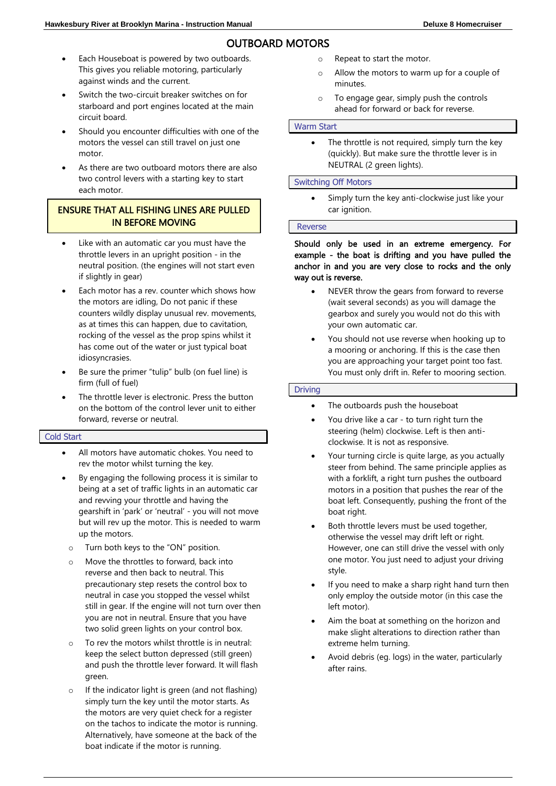### OUTBOARD MOTORS

- Each Houseboat is powered by two outboards. This gives you reliable motoring, particularly against winds and the current.
- Switch the two-circuit breaker switches on for starboard and port engines located at the main circuit board.
- Should you encounter difficulties with one of the motors the vessel can still travel on just one motor.
- As there are two outboard motors there are also two control levers with a starting key to start each motor.

#### ENSURE THAT ALL FISHING LINES ARE PULLED IN BEFORE MOVING

- Like with an automatic car you must have the throttle levers in an upright position - in the neutral position. (the engines will not start even if slightly in gear)
- Each motor has a rev. counter which shows how the motors are idling, Do not panic if these counters wildly display unusual rev. movements, as at times this can happen, due to cavitation, rocking of the vessel as the prop spins whilst it has come out of the water or just typical boat idiosyncrasies.
- Be sure the primer "tulip" bulb (on fuel line) is firm (full of fuel)
- The throttle lever is electronic. Press the button on the bottom of the control lever unit to either forward, reverse or neutral.

#### Cold Start

- All motors have automatic chokes. You need to rev the motor whilst turning the key.
- By engaging the following process it is similar to being at a set of traffic lights in an automatic car and revving your throttle and having the gearshift in 'park' or 'neutral' - you will not move but will rev up the motor. This is needed to warm up the motors.
- o Turn both keys to the "ON" position.
- o Move the throttles to forward, back into reverse and then back to neutral. This precautionary step resets the control box to neutral in case you stopped the vessel whilst still in gear. If the engine will not turn over then you are not in neutral. Ensure that you have two solid green lights on your control box.
- o To rev the motors whilst throttle is in neutral: keep the select button depressed (still green) and push the throttle lever forward. It will flash green.
- o If the indicator light is green (and not flashing) simply turn the key until the motor starts. As the motors are very quiet check for a register on the tachos to indicate the motor is running. Alternatively, have someone at the back of the boat indicate if the motor is running.
- o Repeat to start the motor.
- o Allow the motors to warm up for a couple of minutes.
- o To engage gear, simply push the controls ahead for forward or back for reverse.

#### Warm Start

• The throttle is not required, simply turn the key (quickly). But make sure the throttle lever is in NEUTRAL (2 green lights).

#### Switching Off Motors

Simply turn the key anti-clockwise just like your car ignition.

#### Reverse

#### Should only be used in an extreme emergency. For example - the boat is drifting and you have pulled the anchor in and you are very close to rocks and the only way out is reverse.

- NEVER throw the gears from forward to reverse (wait several seconds) as you will damage the gearbox and surely you would not do this with your own automatic car.
- You should not use reverse when hooking up to a mooring or anchoring. If this is the case then you are approaching your target point too fast. You must only drift in. Refer to mooring section.

#### Driving

- The outboards push the houseboat
- You drive like a car to turn right turn the steering (helm) clockwise. Left is then anticlockwise. It is not as responsive.
- Your turning circle is quite large, as you actually steer from behind. The same principle applies as with a forklift, a right turn pushes the outboard motors in a position that pushes the rear of the boat left. Consequently, pushing the front of the boat right.
- Both throttle levers must be used together, otherwise the vessel may drift left or right. However, one can still drive the vessel with only one motor. You just need to adjust your driving style.
- If you need to make a sharp right hand turn then only employ the outside motor (in this case the left motor).
- Aim the boat at something on the horizon and make slight alterations to direction rather than extreme helm turning.
- Avoid debris (eg. logs) in the water, particularly after rains.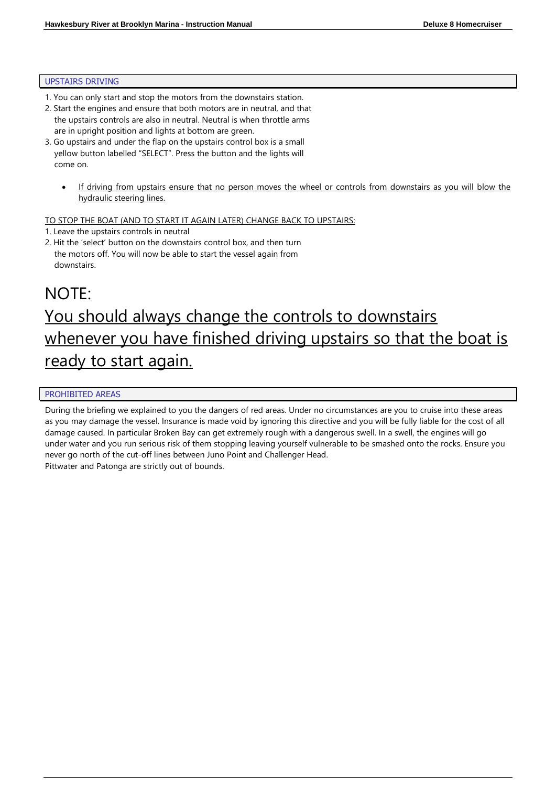#### UPSTAIRS DRIVING

- 1. You can only start and stop the motors from the downstairs station.
- 2. Start the engines and ensure that both motors are in neutral, and that the upstairs controls are also in neutral. Neutral is when throttle arms are in upright position and lights at bottom are green.
- 3. Go upstairs and under the flap on the upstairs control box is a small yellow button labelled "SELECT". Press the button and the lights will come on.
	- If driving from upstairs ensure that no person moves the wheel or controls from downstairs as you will blow the hydraulic steering lines.

TO STOP THE BOAT (AND TO START IT AGAIN LATER) CHANGE BACK TO UPSTAIRS:

- 1. Leave the upstairs controls in neutral
- 2. Hit the 'select' button on the downstairs control box, and then turn the motors off. You will now be able to start the vessel again from downstairs.

## NOTE: You should always change the controls to downstairs whenever you have finished driving upstairs so that the boat is ready to start again.

#### PROHIBITED AREAS

During the briefing we explained to you the dangers of red areas. Under no circumstances are you to cruise into these areas as you may damage the vessel. Insurance is made void by ignoring this directive and you will be fully liable for the cost of all damage caused. In particular Broken Bay can get extremely rough with a dangerous swell. In a swell, the engines will go under water and you run serious risk of them stopping leaving yourself vulnerable to be smashed onto the rocks. Ensure you never go north of the cut-off lines between Juno Point and Challenger Head.

Pittwater and Patonga are strictly out of bounds.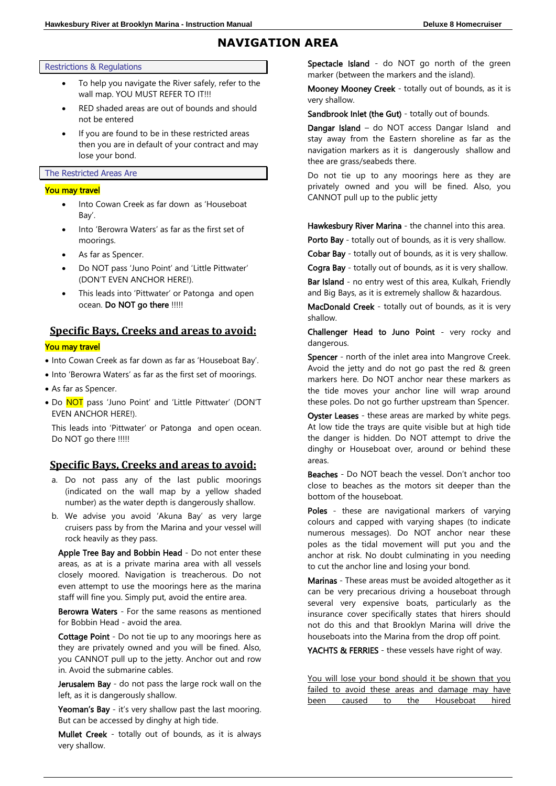### **NAVIGATION AREA**

Restrictions & Regulations

- To help you navigate the River safely, refer to the wall map. YOU MUST REFER TO IT!!!
- RED shaded areas are out of bounds and should not be entered
- If you are found to be in these restricted areas then you are in default of your contract and may lose your bond.

#### The Restricted Areas Are

#### You may travel

- Into Cowan Creek as far down as 'Houseboat Bay'.
- Into 'Berowra Waters' as far as the first set of moorings.
- As far as Spencer.
- Do NOT pass 'Juno Point' and 'Little Pittwater' (DON'T EVEN ANCHOR HERE!).
- This leads into 'Pittwater' or Patonga and open ocean. Do NOT go there !!!!!

### **Specific Bays, Creeks and areas to avoid:** You may travel

- Into Cowan Creek as far down as far as 'Houseboat Bay'.
- Into 'Berowra Waters' as far as the first set of moorings.
- As far as Spencer.
- Do NOT pass 'Juno Point' and 'Little Pittwater' (DON'T EVEN ANCHOR HERE!).

This leads into 'Pittwater' or Patonga and open ocean. Do NOT go there !!!!!

#### **Specific Bays, Creeks and areas to avoid:**

- a. Do not pass any of the last public moorings (indicated on the wall map by a yellow shaded number) as the water depth is dangerously shallow.
- b. We advise you avoid 'Akuna Bay' as very large cruisers pass by from the Marina and your vessel will rock heavily as they pass.

Apple Tree Bay and Bobbin Head - Do not enter these areas, as at is a private marina area with all vessels closely moored. Navigation is treacherous. Do not even attempt to use the moorings here as the marina staff will fine you. Simply put, avoid the entire area.

Berowra Waters - For the same reasons as mentioned for Bobbin Head - avoid the area.

Cottage Point - Do not tie up to any moorings here as they are privately owned and you will be fined. Also, you CANNOT pull up to the jetty. Anchor out and row in. Avoid the submarine cables.

Jerusalem Bay - do not pass the large rock wall on the left, as it is dangerously shallow.

Yeoman's Bay - it's very shallow past the last mooring. But can be accessed by dinghy at high tide.

Mullet Creek - totally out of bounds, as it is always very shallow.

Spectacle Island - do NOT go north of the green marker (between the markers and the island).

Mooney Mooney Creek - totally out of bounds, as it is very shallow.

Sandbrook Inlet (the Gut) - totally out of bounds.

Dangar Island - do NOT access Dangar Island and stay away from the Eastern shoreline as far as the navigation markers as it is dangerously shallow and thee are grass/seabeds there.

Do not tie up to any moorings here as they are privately owned and you will be fined. Also, you CANNOT pull up to the public jetty

Hawkesbury River Marina - the channel into this area.

Porto Bay - totally out of bounds, as it is very shallow.

Cobar Bay - totally out of bounds, as it is very shallow.

Cogra Bay - totally out of bounds, as it is very shallow.

Bar Island - no entry west of this area, Kulkah, Friendly and Big Bays, as it is extremely shallow & hazardous.

MacDonald Creek - totally out of bounds, as it is very shallow.

Challenger Head to Juno Point - very rocky and dangerous.

Spencer - north of the inlet area into Mangrove Creek. Avoid the jetty and do not go past the red & green markers here. Do NOT anchor near these markers as the tide moves your anchor line will wrap around these poles. Do not go further upstream than Spencer.

Oyster Leases - these areas are marked by white pegs. At low tide the trays are quite visible but at high tide the danger is hidden. Do NOT attempt to drive the dinghy or Houseboat over, around or behind these areas.

Beaches - Do NOT beach the vessel. Don't anchor too close to beaches as the motors sit deeper than the bottom of the houseboat.

Poles - these are navigational markers of varying colours and capped with varying shapes (to indicate numerous messages). Do NOT anchor near these poles as the tidal movement will put you and the anchor at risk. No doubt culminating in you needing to cut the anchor line and losing your bond.

Marinas - These areas must be avoided altogether as it can be very precarious driving a houseboat through several very expensive boats, particularly as the insurance cover specifically states that hirers should not do this and that Brooklyn Marina will drive the houseboats into the Marina from the drop off point.

YACHTS & FERRIES - these vessels have right of way.

You will lose your bond should it be shown that you failed to avoid these areas and damage may have been caused to the Houseboat hired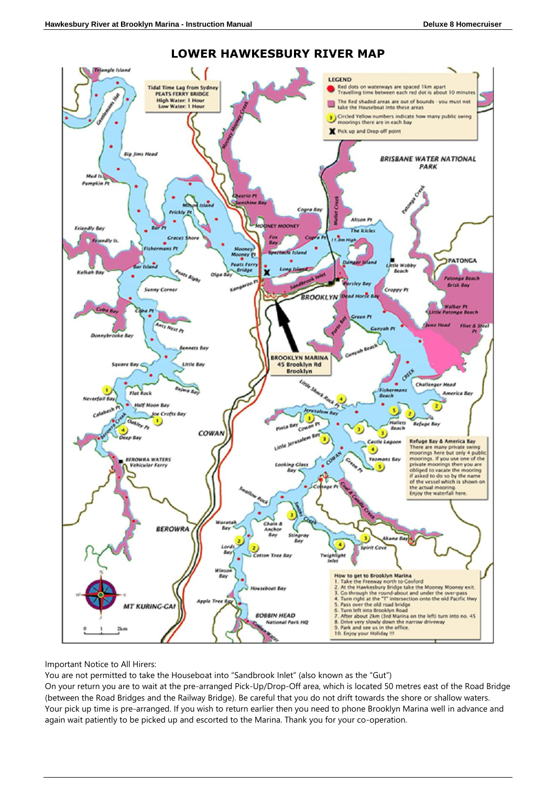

#### **LOWER HAWKESBURY RIVER MAP**

Important Notice to All Hirers:

You are not permitted to take the Houseboat into "Sandbrook Inlet" (also known as the "Gut")

On your return you are to wait at the pre-arranged Pick-Up/Drop-Off area, which is located 50 metres east of the Road Bridge (between the Road Bridges and the Railway Bridge). Be careful that you do not drift towards the shore or shallow waters. Your pick up time is pre-arranged. If you wish to return earlier then you need to phone Brooklyn Marina well in advance and again wait patiently to be picked up and escorted to the Marina. Thank you for your co-operation.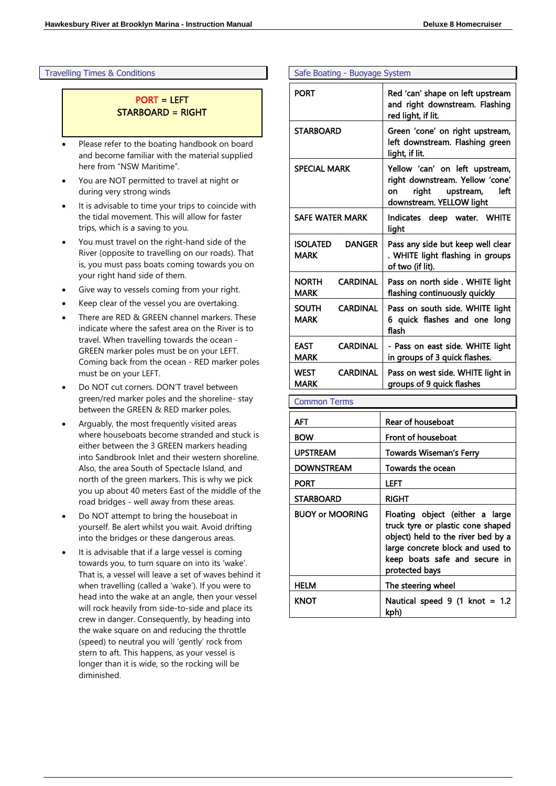Travelling Times & Conditions

#### PORT = LEFT STARBOARD = RIGHT

- Please refer to the boating handbook on board and become familiar with the material supplied here from "NSW Maritime".
- You are NOT permitted to travel at night or during very strong winds
- It is advisable to time your trips to coincide with the tidal movement. This will allow for faster trips, which is a saving to you.
- You must travel on the right-hand side of the River (opposite to travelling on our roads). That is, you must pass boats coming towards you on your right hand side of them.
- Give way to vessels coming from your right.
- Keep clear of the vessel you are overtaking.
- There are RED & GREEN channel markers. These indicate where the safest area on the River is to travel. When travelling towards the ocean - GREEN marker poles must be on your LEFT. Coming back from the ocean - RED marker poles must be on your LEFT.
- Do NOT cut corners. DON'T travel between green/red marker poles and the shoreline- stay between the GREEN & RED marker poles.
- Arguably, the most frequently visited areas where houseboats become stranded and stuck is either between the 3 GREEN markers heading into Sandbrook Inlet and their western shoreline. Also, the area South of Spectacle Island, and north of the green markers. This is why we pick you up about 40 meters East of the middle of the road bridges - well away from these areas.
- Do NOT attempt to bring the houseboat in yourself. Be alert whilst you wait. Avoid drifting into the bridges or these dangerous areas.
- It is advisable that if a large vessel is coming towards you, to turn square on into its 'wake'. That is, a vessel will leave a set of waves behind it when travelling (called a 'wake'). If you were to head into the wake at an angle, then your vessel will rock heavily from side-to-side and place its crew in danger. Consequently, by heading into the wake square on and reducing the throttle (speed) to neutral you will 'gently' rock from stern to aft. This happens, as your vessel is longer than it is wide, so the rocking will be diminished.

#### Safe Boating - Buoyage System

| <b>PORT</b>                                    | Red 'can' shape on left upstream<br>and right downstream. Flashing<br>red light, if lit.                                          |  |  |
|------------------------------------------------|-----------------------------------------------------------------------------------------------------------------------------------|--|--|
| <b>STARBOARD</b>                               | Green 'cone' on right upstream,<br>left downstream. Flashing green<br>light, if lit.                                              |  |  |
| <b>SPECIAL MARK</b>                            | Yellow 'can' on left upstream,<br>right downstream. Yellow 'cone'<br>upstream,<br>right<br>left<br>on<br>downstream. YELLOW light |  |  |
| <b>SAFE WATER MARK</b>                         | Indicates deep water. WHITE<br>light                                                                                              |  |  |
| ISOLATED<br><b>DANGER</b><br>MARK              | Pass any side but keep well clear<br>. WHITE light flashing in groups<br>of two (if lit).                                         |  |  |
| <b>NORTH</b><br><b>CARDINAL</b><br>MARK        | Pass on north side . WHITE light<br>flashing continuously quickly                                                                 |  |  |
| <b>SOUTH</b><br><b>CARDINAL</b><br><b>MARK</b> | Pass on south side. WHITE light<br>6 quick flashes and one long<br>flash                                                          |  |  |
| <b>CARDINAL</b><br>EAST<br>MARK                | - Pass on east side. WHITE light<br>in groups of 3 quick flashes.                                                                 |  |  |
| <b>CARDINAL</b><br><b>WEST</b><br>MARK         | Pass on west side. WHITE light in<br>groups of 9 quick flashes                                                                    |  |  |

#### Common Terms

| AFT                    | Rear of houseboat                                                                                                                                                                                 |  |  |
|------------------------|---------------------------------------------------------------------------------------------------------------------------------------------------------------------------------------------------|--|--|
| <b>BOW</b>             | Front of houseboat                                                                                                                                                                                |  |  |
| <b>UPSTREAM</b>        | Towards Wiseman's Ferry                                                                                                                                                                           |  |  |
| DOWNSTREAM             | Towards the ocean                                                                                                                                                                                 |  |  |
| PORT                   | LEFT                                                                                                                                                                                              |  |  |
| <b>STARBOARD</b>       | <b>RIGHT</b>                                                                                                                                                                                      |  |  |
| <b>BUOY or MOORING</b> | Floating object (either a large<br>truck tyre or plastic cone shaped<br>object) held to the river bed by a<br>large concrete block and used to<br>keep boats safe and secure in<br>protected bays |  |  |
| HELM                   | The steering wheel                                                                                                                                                                                |  |  |
| KNOT                   | Nautical speed $9$ (1 knot = 1.2<br>kph)                                                                                                                                                          |  |  |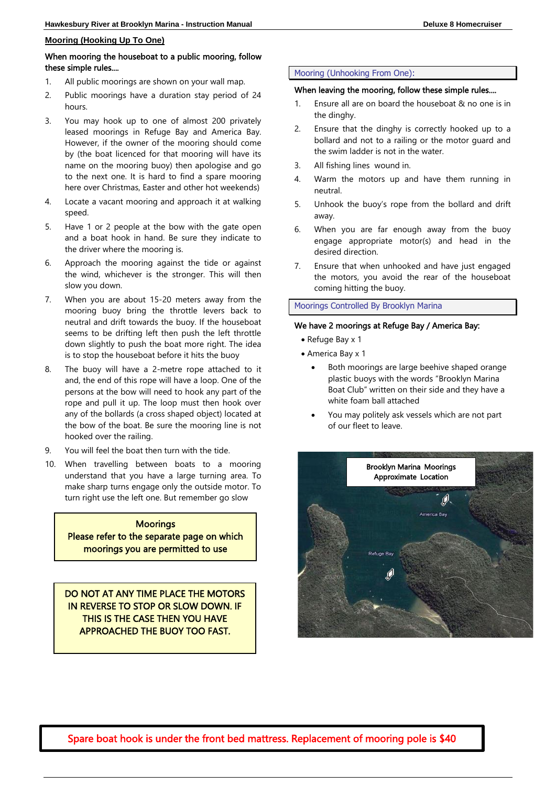#### **Mooring (Hooking Up To One)**

#### When mooring the houseboat to a public mooring, follow these simple rules....

- 1. All public moorings are shown on your wall map.
- 2. Public moorings have a duration stay period of 24 hours.
- 3. You may hook up to one of almost 200 privately leased moorings in Refuge Bay and America Bay. However, if the owner of the mooring should come by (the boat licenced for that mooring will have its name on the mooring buoy) then apologise and go to the next one. It is hard to find a spare mooring here over Christmas, Easter and other hot weekends)
- 4. Locate a vacant mooring and approach it at walking speed.
- 5. Have 1 or 2 people at the bow with the gate open and a boat hook in hand. Be sure they indicate to the driver where the mooring is.
- 6. Approach the mooring against the tide or against the wind, whichever is the stronger. This will then slow you down.
- 7. When you are about 15-20 meters away from the mooring buoy bring the throttle levers back to neutral and drift towards the buoy. If the houseboat seems to be drifting left then push the left throttle down slightly to push the boat more right. The idea is to stop the houseboat before it hits the buoy
- 8. The buoy will have a 2-metre rope attached to it and, the end of this rope will have a loop. One of the persons at the bow will need to hook any part of the rope and pull it up. The loop must then hook over any of the bollards (a cross shaped object) located at the bow of the boat. Be sure the mooring line is not hooked over the railing.
- 9. You will feel the boat then turn with the tide.
- 10. When travelling between boats to a mooring understand that you have a large turning area. To make sharp turns engage only the outside motor. To turn right use the left one. But remember go slow

**Moorings** Please refer to the separate page on which moorings you are permitted to use

DO NOT AT ANY TIME PLACE THE MOTORS IN REVERSE TO STOP OR SLOW DOWN. IF THIS IS THE CASE THEN YOU HAVE APPROACHED THE BUOY TOO FAST.

I

l

#### Mooring (Unhooking From One):

#### When leaving the mooring, follow these simple rules....

- 1. Ensure all are on board the houseboat & no one is in the dinghy.
- 2. Ensure that the dinghy is correctly hooked up to a bollard and not to a railing or the motor guard and the swim ladder is not in the water.
- 3. All fishing lines wound in.
- 4. Warm the motors up and have them running in neutral.
- 5. Unhook the buoy's rope from the bollard and drift away.
- 6. When you are far enough away from the buoy engage appropriate motor(s) and head in the desired direction.
- 7. Ensure that when unhooked and have just engaged the motors, you avoid the rear of the houseboat coming hitting the buoy.

#### Moorings Controlled By Brooklyn Marina

#### We have 2 moorings at Refuge Bay / America Bay:

- Refuge Bay x 1
- America Bay x 1
	- Both moorings are large beehive shaped orange plastic buoys with the words "Brooklyn Marina Boat Club" written on their side and they have a white foam ball attached
	- You may politely ask vessels which are not part of our fleet to leave.



Spare boat hook is under the front bed mattress. Replacement of mooring pole is \$40 Ξ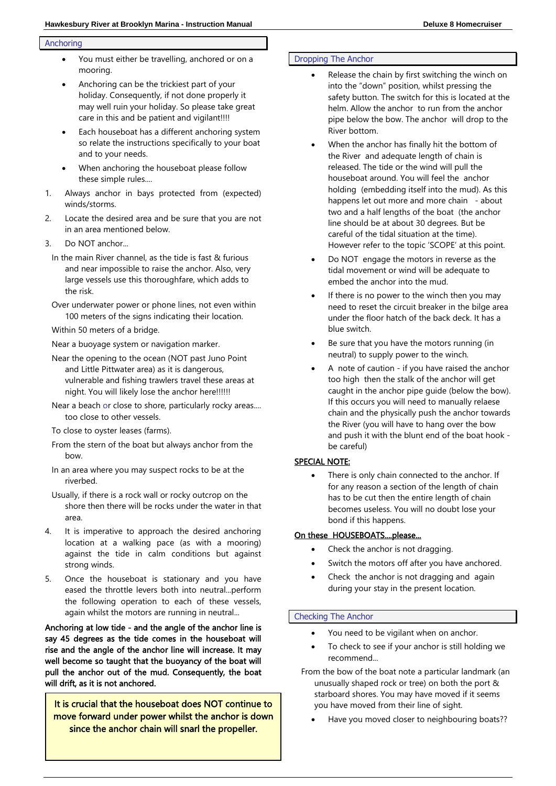#### Anchoring

- You must either be travelling, anchored or on a mooring.
- Anchoring can be the trickiest part of your holiday. Consequently, if not done properly it may well ruin your holiday. So please take great care in this and be patient and vigilant!!!!
- Each houseboat has a different anchoring system so relate the instructions specifically to your boat and to your needs.
- When anchoring the houseboat please follow these simple rules....
- 1. Always anchor in bays protected from (expected) winds/storms.
- 2. Locate the desired area and be sure that you are not in an area mentioned below.
- 3. Do NOT anchor...
	- In the main River channel, as the tide is fast & furious and near impossible to raise the anchor. Also, very large vessels use this thoroughfare, which adds to the risk.
	- Over underwater power or phone lines, not even within 100 meters of the signs indicating their location.
	- Within 50 meters of a bridge.
	- Near a buoyage system or navigation marker.
	- Near the opening to the ocean (NOT past Juno Point and Little Pittwater area) as it is dangerous, vulnerable and fishing trawlers travel these areas at night. You will likely lose the anchor here!!!!!!
	- Near a beach or close to shore, particularly rocky areas.... too close to other vessels.
	- To close to oyster leases (farms).
	- From the stern of the boat but always anchor from the bow.
	- In an area where you may suspect rocks to be at the riverbed.
	- Usually, if there is a rock wall or rocky outcrop on the shore then there will be rocks under the water in that area.
- 4. It is imperative to approach the desired anchoring location at a walking pace (as with a mooring) against the tide in calm conditions but against strong winds.
- 5. Once the houseboat is stationary and you have eased the throttle levers both into neutral...perform the following operation to each of these vessels, again whilst the motors are running in neutral...

Anchoring at low tide - and the angle of the anchor line is say 45 degrees as the tide comes in the houseboat will rise and the angle of the anchor line will increase. It may well become so taught that the buoyancy of the boat will pull the anchor out of the mud. Consequently, the boat will drift, as it is not anchored.

It is crucial that the houseboat does NOT continue to move forward under power whilst the anchor is down since the anchor chain will snarl the propeller.

#### Dropping The Anchor

- Release the chain by first switching the winch on into the "down" position, whilst pressing the safety button. The switch for this is located at the helm. Allow the anchor to run from the anchor pipe below the bow. The anchor will drop to the River bottom.
- When the anchor has finally hit the bottom of the River and adequate length of chain is released. The tide or the wind will pull the houseboat around. You will feel the anchor holding (embedding itself into the mud). As this happens let out more and more chain - about two and a half lengths of the boat (the anchor line should be at about 30 degrees. But be careful of the tidal situation at the time). However refer to the topic 'SCOPE' at this point.
- Do NOT engage the motors in reverse as the tidal movement or wind will be adequate to embed the anchor into the mud.
- If there is no power to the winch then you may need to reset the circuit breaker in the bilge area under the floor hatch of the back deck. It has a blue switch.
- Be sure that you have the motors running (in neutral) to supply power to the winch.
- A note of caution if you have raised the anchor too high then the stalk of the anchor will get caught in the anchor pipe guide (below the bow). If this occurs you will need to manually relaese chain and the physically push the anchor towards the River (you will have to hang over the bow and push it with the blunt end of the boat hook be careful)

#### SPECIAL NOTE:

There is only chain connected to the anchor. If for any reason a section of the length of chain has to be cut then the entire length of chain becomes useless. You will no doubt lose your bond if this happens.

#### On these HOUSEBOATS....please...

- Check the anchor is not dragging.
- Switch the motors off after you have anchored.
- Check the anchor is not dragging and again during your stay in the present location.

#### Checking The Anchor

- You need to be vigilant when on anchor.
- To check to see if your anchor is still holding we recommend...
- From the bow of the boat note a particular landmark (an unusually shaped rock or tree) on both the port & starboard shores. You may have moved if it seems you have moved from their line of sight.
	- Have you moved closer to neighbouring boats??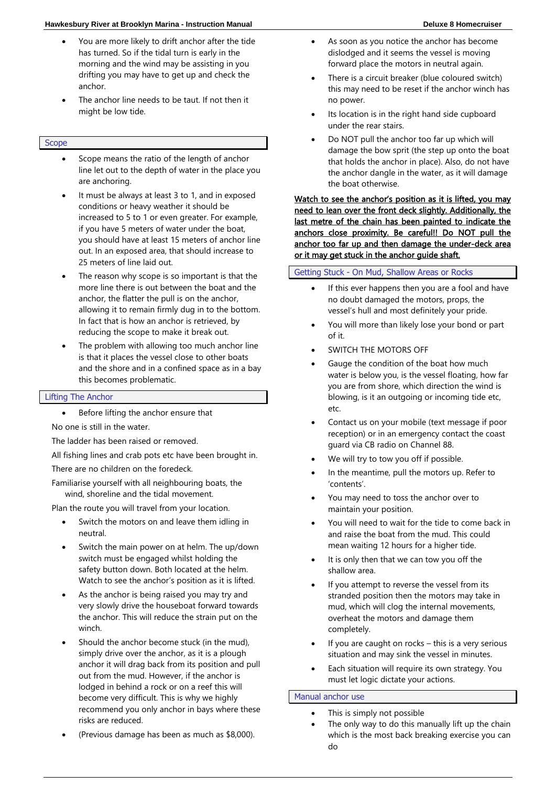#### **Hawkesbury River at Brooklyn Marina - Instruction Manual Deluxe 8 Homecruiser**

- You are more likely to drift anchor after the tide has turned. So if the tidal turn is early in the morning and the wind may be assisting in you drifting you may have to get up and check the anchor.
- The anchor line needs to be taut. If not then it might be low tide.

#### Scope

- Scope means the ratio of the length of anchor line let out to the depth of water in the place you are anchoring.
- It must be always at least 3 to 1, and in exposed conditions or heavy weather it should be increased to 5 to 1 or even greater. For example, if you have 5 meters of water under the boat, you should have at least 15 meters of anchor line out. In an exposed area, that should increase to 25 meters of line laid out.
- The reason why scope is so important is that the more line there is out between the boat and the anchor, the flatter the pull is on the anchor, allowing it to remain firmly dug in to the bottom. In fact that is how an anchor is retrieved, by reducing the scope to make it break out.
- The problem with allowing too much anchor line is that it places the vessel close to other boats and the shore and in a confined space as in a bay this becomes problematic.

#### Lifting The Anchor

Before lifting the anchor ensure that

No one is still in the water.

The ladder has been raised or removed.

All fishing lines and crab pots etc have been brought in.

There are no children on the foredeck.

Familiarise yourself with all neighbouring boats, the wind, shoreline and the tidal movement.

Plan the route you will travel from your location.

- Switch the motors on and leave them idling in neutral.
- Switch the main power on at helm. The up/down switch must be engaged whilst holding the safety button down. Both located at the helm. Watch to see the anchor's position as it is lifted.
- As the anchor is being raised you may try and very slowly drive the houseboat forward towards the anchor. This will reduce the strain put on the winch.
- Should the anchor become stuck (in the mud), simply drive over the anchor, as it is a plough anchor it will drag back from its position and pull out from the mud. However, if the anchor is lodged in behind a rock or on a reef this will become very difficult. This is why we highly recommend you only anchor in bays where these risks are reduced.
- (Previous damage has been as much as \$8,000).
- As soon as you notice the anchor has become dislodged and it seems the vessel is moving forward place the motors in neutral again.
- There is a circuit breaker (blue coloured switch) this may need to be reset if the anchor winch has no power.
- Its location is in the right hand side cupboard under the rear stairs.
- Do NOT pull the anchor too far up which will damage the bow sprit (the step up onto the boat that holds the anchor in place). Also, do not have the anchor dangle in the water, as it will damage the boat otherwise.

Watch to see the anchor's position as it is lifted, you may need to lean over the front deck slightly. Additionally, the last metre of the chain has been painted to indicate the anchors close proximity. Be careful!! Do NOT pull the anchor too far up and then damage the under-deck area or it may get stuck in the anchor guide shaft.

#### Getting Stuck - On Mud, Shallow Areas or Rocks

- If this ever happens then you are a fool and have no doubt damaged the motors, props, the vessel's hull and most definitely your pride.
- You will more than likely lose your bond or part of it.
- SWITCH THE MOTORS OFF
- Gauge the condition of the boat how much water is below you, is the vessel floating, how far you are from shore, which direction the wind is blowing, is it an outgoing or incoming tide etc, etc.
- Contact us on your mobile (text message if poor reception) or in an emergency contact the coast guard via CB radio on Channel 88.
- We will try to tow you off if possible.
- In the meantime, pull the motors up. Refer to 'contents'.
- You may need to toss the anchor over to maintain your position.
- You will need to wait for the tide to come back in and raise the boat from the mud. This could mean waiting 12 hours for a higher tide.
- It is only then that we can tow you off the shallow area.
- If you attempt to reverse the vessel from its stranded position then the motors may take in mud, which will clog the internal movements, overheat the motors and damage them completely.
- If you are caught on rocks  $-$  this is a very serious situation and may sink the vessel in minutes.
- Each situation will require its own strategy. You must let logic dictate your actions.

#### Manual anchor use

- This is simply not possible
- The only way to do this manually lift up the chain which is the most back breaking exercise you can do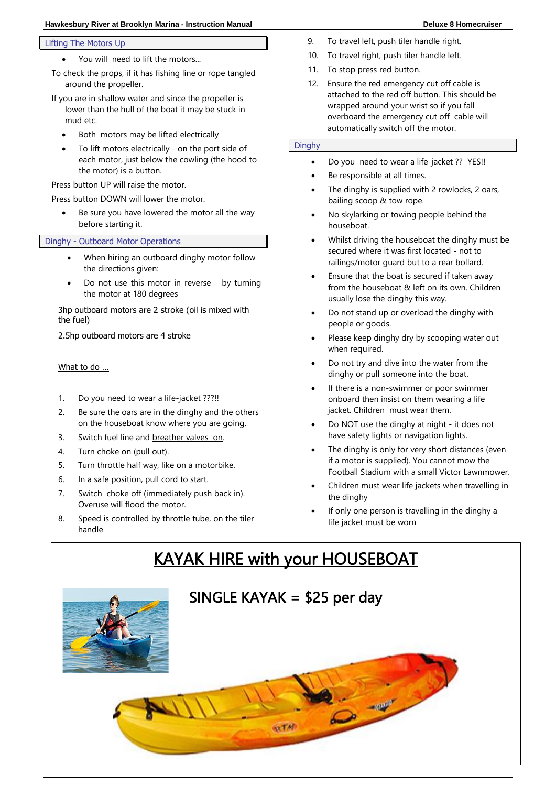#### **Hawkesbury River at Brooklyn Marina - Instruction Manual Deluxe 8 Homecruiser**

#### Lifting The Motors Up

• You will need to lift the motors...

To check the props, if it has fishing line or rope tangled around the propeller.

- If you are in shallow water and since the propeller is lower than the hull of the boat it may be stuck in mud etc.
	- Both motors may be lifted electrically
	- To lift motors electrically on the port side of each motor, just below the cowling (the hood to the motor) is a button.

Press button UP will raise the motor.

Press button DOWN will lower the motor.

Be sure you have lowered the motor all the way before starting it.

#### Dinghy - Outboard Motor Operations

- When hiring an outboard dinghy motor follow the directions given:
- Do not use this motor in reverse by turning the motor at 180 degrees

3hp outboard motors are 2 stroke (oil is mixed with the fuel)

2.5hp outboard motors are 4 stroke

#### What to do …

- 1. Do you need to wear a life-jacket ???!!
- 2. Be sure the oars are in the dinghy and the others on the houseboat know where you are going.
- 3. Switch fuel line and breather valves on.
- 4. Turn choke on (pull out).
- 5. Turn throttle half way, like on a motorbike.
- 6. In a safe position, pull cord to start.
- 7. Switch choke off (immediately push back in). Overuse will flood the motor.
- 8. Speed is controlled by throttle tube, on the tiler handle
- 9. To travel left, push tiler handle right.
- 10. To travel right, push tiler handle left.
- 11. To stop press red button.
- 12. Ensure the red emergency cut off cable is attached to the red off button. This should be wrapped around your wrist so if you fall overboard the emergency cut off cable will automatically switch off the motor.

#### Dinghy

- Do you need to wear a life-jacket ?? YES!!
- Be responsible at all times.
- The dinghy is supplied with 2 rowlocks, 2 oars, bailing scoop & tow rope.
- No skylarking or towing people behind the houseboat.
- Whilst driving the houseboat the dinghy must be secured where it was first located - not to railings/motor guard but to a rear bollard.
- Ensure that the boat is secured if taken away from the houseboat & left on its own. Children usually lose the dinghy this way.
- Do not stand up or overload the dinghy with people or goods.
- Please keep dinghy dry by scooping water out when required.
- Do not try and dive into the water from the dinghy or pull someone into the boat.
- If there is a non-swimmer or poor swimmer onboard then insist on them wearing a life jacket. Children must wear them.
- Do NOT use the dinghy at night it does not have safety lights or navigation lights.
- The dinghy is only for very short distances (even if a motor is supplied). You cannot mow the Football Stadium with a small Victor Lawnmower.
- Children must wear life jackets when travelling in the dinghy
- If only one person is travelling in the dinghy a life jacket must be worn

## KAYAK HIRE with your HOUSEBOAT

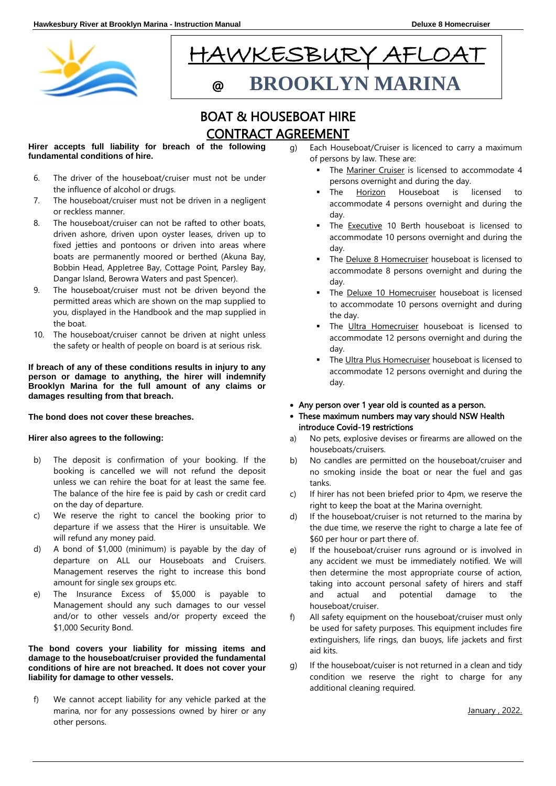



### BOAT & HOUSEBOAT HIRE CONTRACT AGREEMENT

**Hirer accepts full liability for breach of the following fundamental conditions of hire.**

Ξ

- 6. The driver of the houseboat/cruiser must not be under the influence of alcohol or drugs.
- 7. The houseboat/cruiser must not be driven in a negligent or reckless manner.
- 8. The houseboat/cruiser can not be rafted to other boats, driven ashore, driven upon oyster leases, driven up to fixed jetties and pontoons or driven into areas where boats are permanently moored or berthed (Akuna Bay, Bobbin Head, Appletree Bay, Cottage Point, Parsley Bay, Dangar Island, Berowra Waters and past Spencer).
- 9. The houseboat/cruiser must not be driven beyond the permitted areas which are shown on the map supplied to you, displayed in the Handbook and the map supplied in the boat.
- 10. The houseboat/cruiser cannot be driven at night unless the safety or health of people on board is at serious risk.

#### **If breach of any of these conditions results in injury to any person or damage to anything, the hirer will indemnify Brooklyn Marina for the full amount of any claims or damages resulting from that breach.**

#### **The bond does not cover these breaches.**

#### **Hirer also agrees to the following:**

- b) The deposit is confirmation of your booking. If the booking is cancelled we will not refund the deposit unless we can rehire the boat for at least the same fee. The balance of the hire fee is paid by cash or credit card on the day of departure.
- c) We reserve the right to cancel the booking prior to departure if we assess that the Hirer is unsuitable. We will refund any money paid.
- d) A bond of \$1,000 (minimum) is payable by the day of departure on ALL our Houseboats and Cruisers. Management reserves the right to increase this bond amount for single sex groups etc.
- e) The Insurance Excess of \$5,000 is payable to Management should any such damages to our vessel and/or to other vessels and/or property exceed the \$1,000 Security Bond.

#### **The bond covers your liability for missing items and damage to the houseboat/cruiser provided the fundamental conditions of hire are not breached. It does not cover your liability for damage to other vessels.**

f) We cannot accept liability for any vehicle parked at the marina, nor for any possessions owned by hirer or any other persons.

- g) Each Houseboat/Cruiser is licenced to carry a maximum of persons by law. These are:
	- The Mariner Cruiser is licensed to accommodate 4 persons overnight and during the day.
	- The Horizon Houseboat is licensed to accommodate 4 persons overnight and during the day.
	- The Executive 10 Berth houseboat is licensed to accommodate 10 persons overnight and during the day.
	- The Deluxe 8 Homecruiser houseboat is licensed to accommodate 8 persons overnight and during the day.
	- The Deluxe 10 Homecruiser houseboat is licensed to accommodate 10 persons overnight and during the day.
	- The Ultra Homecruiser houseboat is licensed to accommodate 12 persons overnight and during the day.
	- The Ultra Plus Homecruiser houseboat is licensed to accommodate 12 persons overnight and during the day.
- Any person over 1 year old is counted as a person.
- These maximum numbers may vary should NSW Health introduce Covid-19 restrictions
- a) No pets, explosive devises or firearms are allowed on the houseboats/cruisers.
- b) No candles are permitted on the houseboat/cruiser and no smoking inside the boat or near the fuel and gas tanks.
- c) If hirer has not been briefed prior to 4pm, we reserve the right to keep the boat at the Marina overnight.
- d) If the houseboat/cruiser is not returned to the marina by the due time, we reserve the right to charge a late fee of \$60 per hour or part there of.
- e) If the houseboat/cruiser runs aground or is involved in any accident we must be immediately notified. We will then determine the most appropriate course of action, taking into account personal safety of hirers and staff and actual and potential damage to the houseboat/cruiser.
- f) All safety equipment on the houseboat/cruiser must only be used for safety purposes. This equipment includes fire extinguishers, life rings, dan buoys, life jackets and first aid kits.
- g) If the houseboat/cuiser is not returned in a clean and tidy condition we reserve the right to charge for any additional cleaning required.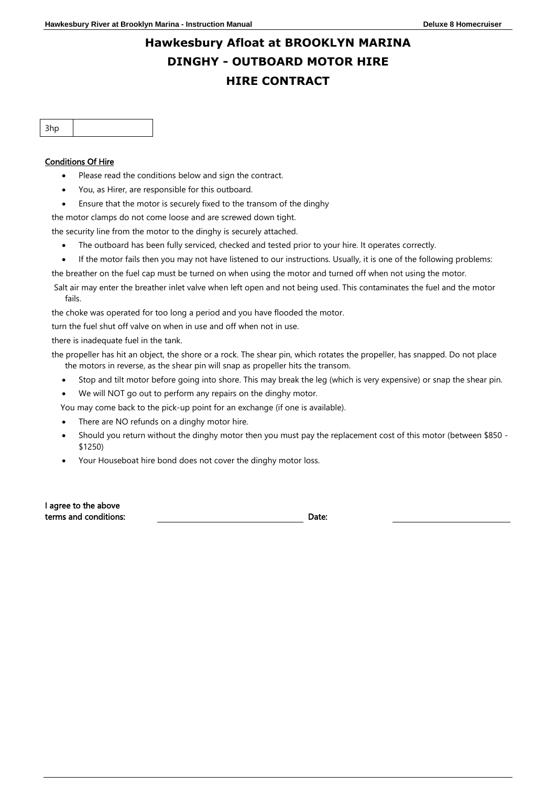## **Hawkesbury Afloat at BROOKLYN MARINA DINGHY - OUTBOARD MOTOR HIRE HIRE CONTRACT**

#### Conditions Of Hire

- Please read the conditions below and sign the contract.
- You, as Hirer, are responsible for this outboard.
- Ensure that the motor is securely fixed to the transom of the dinghy

the motor clamps do not come loose and are screwed down tight.

the security line from the motor to the dinghy is securely attached.

- The outboard has been fully serviced, checked and tested prior to your hire. It operates correctly.
- If the motor fails then you may not have listened to our instructions. Usually, it is one of the following problems:
- the breather on the fuel cap must be turned on when using the motor and turned off when not using the motor.
- Salt air may enter the breather inlet valve when left open and not being used. This contaminates the fuel and the motor fails.

the choke was operated for too long a period and you have flooded the motor.

turn the fuel shut off valve on when in use and off when not in use.

there is inadequate fuel in the tank.

the propeller has hit an object, the shore or a rock. The shear pin, which rotates the propeller, has snapped. Do not place the motors in reverse, as the shear pin will snap as propeller hits the transom.

- Stop and tilt motor before going into shore. This may break the leg (which is very expensive) or snap the shear pin.
- We will NOT go out to perform any repairs on the dinghy motor.
- You may come back to the pick-up point for an exchange (if one is available).
- There are NO refunds on a dinghy motor hire.
- Should you return without the dinghy motor then you must pay the replacement cost of this motor (between \$850 \$1250)
- Your Houseboat hire bond does not cover the dinghy motor loss.

| I agree to the above  |       |
|-----------------------|-------|
| terms and conditions: | Date: |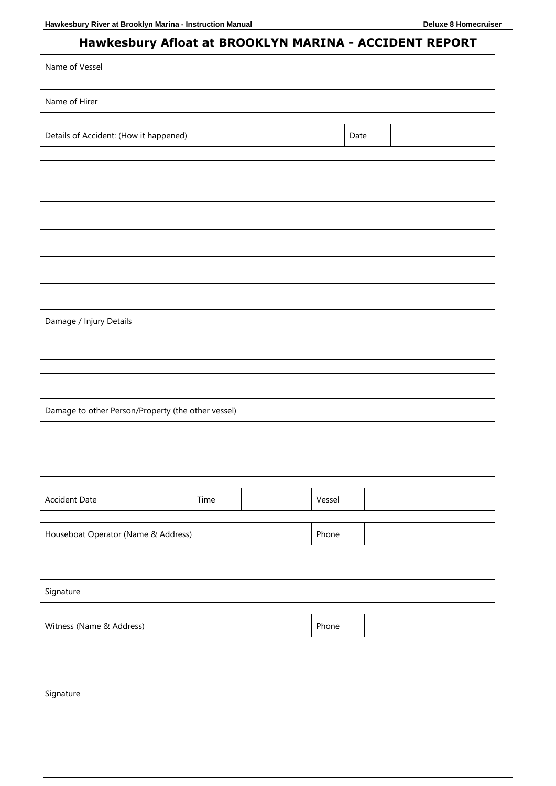Name of Vessel

### **Hawkesbury Afloat at BROOKLYN MARINA - ACCIDENT REPORT**

| Name of Hirer                                      |  |      |       |       |        |      |  |
|----------------------------------------------------|--|------|-------|-------|--------|------|--|
| Details of Accident: (How it happened)             |  |      |       |       |        | Date |  |
|                                                    |  |      |       |       |        |      |  |
|                                                    |  |      |       |       |        |      |  |
|                                                    |  |      |       |       |        |      |  |
|                                                    |  |      |       |       |        |      |  |
|                                                    |  |      |       |       |        |      |  |
|                                                    |  |      |       |       |        |      |  |
|                                                    |  |      |       |       |        |      |  |
| Damage / Injury Details                            |  |      |       |       |        |      |  |
|                                                    |  |      |       |       |        |      |  |
|                                                    |  |      |       |       |        |      |  |
|                                                    |  |      |       |       |        |      |  |
| Damage to other Person/Property (the other vessel) |  |      |       |       |        |      |  |
|                                                    |  |      |       |       |        |      |  |
|                                                    |  |      |       |       |        |      |  |
|                                                    |  |      |       |       |        |      |  |
| Accident Date                                      |  | Time |       |       | Vessel |      |  |
| Houseboat Operator (Name & Address)                |  |      |       | Phone |        |      |  |
|                                                    |  |      |       |       |        |      |  |
| Signature                                          |  |      |       |       |        |      |  |
| Witness (Name & Address)                           |  |      | Phone |       |        |      |  |
|                                                    |  |      |       |       |        |      |  |
|                                                    |  |      |       |       |        |      |  |
| Signature                                          |  |      |       |       |        |      |  |